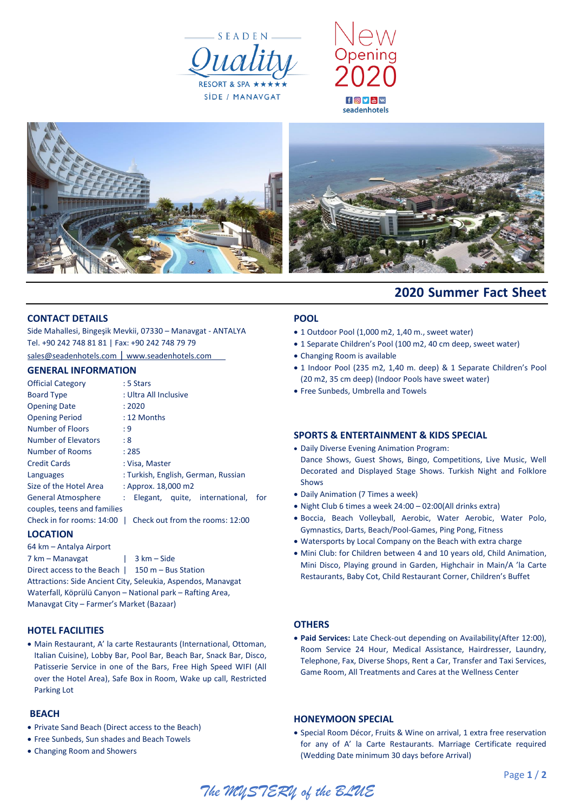





# **2020 Summer Fact Sheet**

#### **CONTACT DETAILS**

Side Mahallesi, Bingeşik Mevkii, 07330 – Manavgat - ANTALYA Tel. +90 242 748 81 81 | Fax: +90 242 748 79 79

[sales@seadenhotels.com](mailto:sales@seadenhotels.com) | [www.seadenhotels.com](http://www.seadenhotels.com/)

## **GENERAL INFORMATION**

| <b>Official Category</b>                                     |                                     | : 5 Stars             |  |                                |     |  |  |
|--------------------------------------------------------------|-------------------------------------|-----------------------|--|--------------------------------|-----|--|--|
| <b>Board Type</b>                                            |                                     | : Ultra All Inclusive |  |                                |     |  |  |
| <b>Opening Date</b>                                          |                                     | : 2020                |  |                                |     |  |  |
| <b>Opening Period</b>                                        |                                     | : 12 Months           |  |                                |     |  |  |
| Number of Floors                                             | : 9                                 |                       |  |                                |     |  |  |
| Number of Elevators                                          | : 8                                 |                       |  |                                |     |  |  |
| Number of Rooms                                              |                                     | : 285                 |  |                                |     |  |  |
| <b>Credit Cards</b>                                          |                                     | : Visa, Master        |  |                                |     |  |  |
| Languages                                                    | : Turkish, English, German, Russian |                       |  |                                |     |  |  |
| Size of the Hotel Area                                       |                                     | : Approx. 18,000 m2   |  |                                |     |  |  |
| General Atmosphere                                           | t.                                  |                       |  | Elegant, quite, international, | for |  |  |
| couples, teens and families                                  |                                     |                       |  |                                |     |  |  |
| Check in for rooms: 14:00<br>Check out from the rooms: 12:00 |                                     |                       |  |                                |     |  |  |

#### **LOCATION**

64 km – Antalya Airport 7 km – Manavgat | 3 km – Side Direct access to the Beach | 150 m – Bus Station Attractions: Side Ancient City, Seleukia, Aspendos, Manavgat Waterfall, Köprülü Canyon – National park – Rafting Area, Manavgat City – Farmer's Market (Bazaar)

#### **HOTEL FACILITIES**

 Main Restaurant, A' la carte Restaurants (International, Ottoman, Italian Cuisine), Lobby Bar, Pool Bar, Beach Bar, Snack Bar, Disco, Patisserie Service in one of the Bars, Free High Speed WIFI (All over the Hotel Area), Safe Box in Room, Wake up call, Restricted Parking Lot

#### **BEACH**

- Private Sand Beach (Direct access to the Beach)
- Free Sunbeds, Sun shades and Beach Towels
- Changing Room and Showers

#### **POOL**

- 1 Outdoor Pool (1,000 m2, 1,40 m., sweet water)
- 1 Separate Children's Pool (100 m2, 40 cm deep, sweet water)
- Changing Room is available
- 1 Indoor Pool (235 m2, 1,40 m. deep) & 1 Separate Children's Pool (20 m2, 35 cm deep) (Indoor Pools have sweet water)
- Free Sunbeds, Umbrella and Towels

#### **SPORTS & ENTERTAINMENT & KIDS SPECIAL**

- Daily Diverse Evening Animation Program: Dance Shows, Guest Shows, Bingo, Competitions, Live Music, Well Decorated and Displayed Stage Shows. Turkish Night and Folklore Shows
- Daily Animation (7 Times a week)
- Night Club 6 times a week 24:00 02:00(All drinks extra)
- Boccia, Beach Volleyball, Aerobic, Water Aerobic, Water Polo, Gymnastics, Darts, Beach/Pool-Games, Ping Pong, Fitness
- Watersports by Local Company on the Beach with extra charge
- Mini Club: for Children between 4 and 10 years old, Child Animation, Mini Disco, Playing ground in Garden, Highchair in Main/A 'la Carte Restaurants, Baby Cot, Child Restaurant Corner, Children's Buffet

#### **OTHERS**

 **Paid Services:** Late Check-out depending on Availability(After 12:00), Room Service 24 Hour, Medical Assistance, Hairdresser, Laundry, Telephone, Fax, Diverse Shops, Rent a Car, Transfer and Taxi Services, Game Room, All Treatments and Cares at the Wellness Center

#### **HONEYMOON SPECIAL**

 Special Room Décor, Fruits & Wine on arrival, 1 extra free reservation for any of A' la Carte Restaurants. Marriage Certificate required (Wedding Date minimum 30 days before Arrival)

Page **1** / **2**

*The MYSTERY of the BLUE*